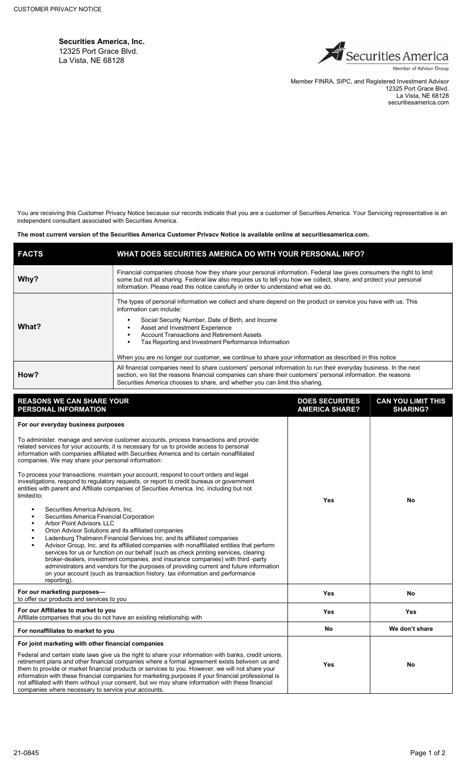Securities America, Inc. 12325 Port Grace Blvd. La Vista, NE 68128



Member FINRA, SIPC, and Registered Investment Advisor 12325 Port Grace Blvd. La Vista, NE 68128 securitiesamerica.com

You are receiving this Customer Privacy Notice because our records indicate that you are a customer of Securities America. Your Servicing representative is an independent consultant associated with Securities America.

The most current version of the Securities America Customer Privacy Notice is available online at securitiesamerica.com.

| <b>FACTS</b> | WHAT DOES SECURITIES AMERICA DO WITH YOUR PERSONAL INFO?                                                                                                                                                                                                                                                                                                                                                                                                  |  |
|--------------|-----------------------------------------------------------------------------------------------------------------------------------------------------------------------------------------------------------------------------------------------------------------------------------------------------------------------------------------------------------------------------------------------------------------------------------------------------------|--|
| Why?         | Financial companies choose how they share your personal information. Federal law gives consumers the right to limit<br>some but not all sharing. Federal law also requires us to tell you how we collect, share, and protect your personal<br>information. Please read this notice carefully in order to understand what we do.                                                                                                                           |  |
| What?        | The types of personal information we collect and share depend on the product or service you have with us. This<br>information can include:<br>Social Security Number, Date of Birth, and Income<br>Asset and Investment Experience<br><b>Account Transactions and Retirement Assets</b><br>Tax Reporting and Investment Performance Information<br>When you are no longer our customer, we continue to share your information as described in this notice |  |
| How?         | All financial companies need to share customers' personal information to run their everyday business. In the next<br>section, we list the reasons financial companies can share their customers' personal information, the reasons<br>Securities America chooses to share, and whether you can limit this sharing.                                                                                                                                        |  |

| <b>REASONS WE CAN SHARE YOUR</b><br>PERSONAL INFORMATION                                                                                                                                                                                                                                                                                                                                                                                                                                                                                                                                                                                                                                                                 | <b>DOES SECURITIES</b><br><b>AMERICA SHARE?</b> | <b>CAN YOU LIMIT THIS</b><br><b>SHARING?</b> |
|--------------------------------------------------------------------------------------------------------------------------------------------------------------------------------------------------------------------------------------------------------------------------------------------------------------------------------------------------------------------------------------------------------------------------------------------------------------------------------------------------------------------------------------------------------------------------------------------------------------------------------------------------------------------------------------------------------------------------|-------------------------------------------------|----------------------------------------------|
| For our everyday business purposes                                                                                                                                                                                                                                                                                                                                                                                                                                                                                                                                                                                                                                                                                       |                                                 |                                              |
| To administer, manage and service customer accounts, process transactions and provide<br>related services for your accounts, it is necessary for us to provide access to personal<br>information with companies affiliated with Securities America and to certain nonaffiliated<br>companies. We may share your personal information:                                                                                                                                                                                                                                                                                                                                                                                    | Yes                                             | <b>No</b>                                    |
| To process your transactions, maintain your account, respond to court orders and legal<br>investigations, respond to regulatory requests, or report to credit bureaus or government<br>entities with parent and Affiliate companies of Securities America, Inc. including but not<br>limited to:                                                                                                                                                                                                                                                                                                                                                                                                                         |                                                 |                                              |
| Securities America Advisors, Inc.<br>Securities America Financial Corporation<br><b>Arbor Point Advisors, LLC</b><br>Orion Advisor Solutions and its affiliated companies<br>Ladenburg Thalmann Financial Services Inc. and its affiliated companies<br>Advisor Group, Inc. and its affiliated companies with nonaffiliated entities that perform<br>services for us or function on our behalf (such as check printing services, clearing<br>broker-dealers, investment companies, and insurance companies) with third -party<br>administrators and vendors for the purposes of providing current and future information<br>on your account (such as transaction history, tax information and performance<br>reporting). |                                                 |                                              |
| For our marketing purposes-<br>to offer our products and services to you                                                                                                                                                                                                                                                                                                                                                                                                                                                                                                                                                                                                                                                 | Yes                                             | <b>No</b>                                    |
| For our Affiliates to market to you<br>Affiliate companies that you do not have an existing relationship with                                                                                                                                                                                                                                                                                                                                                                                                                                                                                                                                                                                                            | Yes                                             | Yes                                          |
| For nonaffiliates to market to you                                                                                                                                                                                                                                                                                                                                                                                                                                                                                                                                                                                                                                                                                       | <b>No</b>                                       | We don't share                               |
| For joint marketing with other financial companies                                                                                                                                                                                                                                                                                                                                                                                                                                                                                                                                                                                                                                                                       |                                                 |                                              |
| Federal and certain state laws give us the right to share your information with banks, credit unions,<br>retirement plans and other financial companies where a formal agreement exists between us and<br>them to provide or market financial products or services to you. However, we will not share your<br>information with these financial companies for marketing purposes if your financial professional is<br>not affiliated with them without your consent, but we may share information with these financial<br>companies where necessary to service your accounts.                                                                                                                                             | Yes                                             | <b>No</b>                                    |